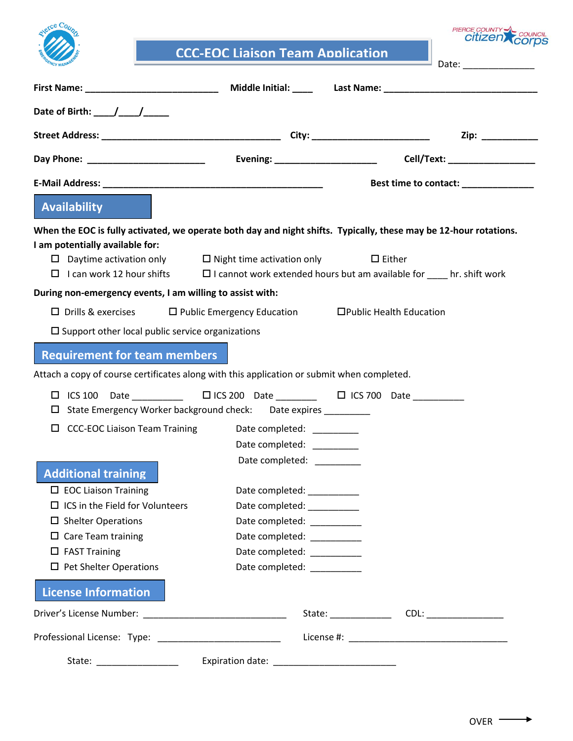

**CCC-EOC Liaison Team Application**

PIERCE COUNTY COUNCIL

Date: \_\_\_\_\_\_\_\_\_\_\_\_\_\_

| Date of Birth: $\frac{1}{\sqrt{2}}$                                                                                                                                                                                            |                                               |                                                                                                                 |
|--------------------------------------------------------------------------------------------------------------------------------------------------------------------------------------------------------------------------------|-----------------------------------------------|-----------------------------------------------------------------------------------------------------------------|
|                                                                                                                                                                                                                                |                                               |                                                                                                                 |
|                                                                                                                                                                                                                                |                                               |                                                                                                                 |
| E-Mail Address: National Address: National Address: National Address: National Address: National Address: National Address: National Address: National Address: National Address: National Address: National Address: National |                                               | Best time to contact: ______________                                                                            |
| Availability                                                                                                                                                                                                                   |                                               |                                                                                                                 |
| When the EOC is fully activated, we operate both day and night shifts. Typically, these may be 12-hour rotations.<br>I am potentially available for:                                                                           |                                               |                                                                                                                 |
| $\Box$ Daytime activation only $\Box$ Night time activation only                                                                                                                                                               |                                               | $\Box$ Either                                                                                                   |
|                                                                                                                                                                                                                                |                                               | $\Box$ I can work 12 hour shifts $\Box$ I cannot work extended hours but am available for $\Box$ hr. shift work |
| During non-emergency events, I am willing to assist with:                                                                                                                                                                      |                                               |                                                                                                                 |
| $\Box$ Drills & exercises                                                                                                                                                                                                      | $\Box$ Public Emergency Education             | □Public Health Education                                                                                        |
| $\square$ Support other local public service organizations                                                                                                                                                                     |                                               |                                                                                                                 |
| <b>Requirement for team members</b>                                                                                                                                                                                            |                                               |                                                                                                                 |
|                                                                                                                                                                                                                                |                                               |                                                                                                                 |
| Attach a copy of course certificates along with this application or submit when completed.                                                                                                                                     |                                               |                                                                                                                 |
|                                                                                                                                                                                                                                |                                               |                                                                                                                 |
| State Emergency Worker background check: Date expires ________<br>ப                                                                                                                                                            |                                               |                                                                                                                 |
| <b>CCC-EOC Liaison Team Training</b><br>ப                                                                                                                                                                                      | Date completed: <u>completed</u>              |                                                                                                                 |
|                                                                                                                                                                                                                                | Date completed: ________                      |                                                                                                                 |
|                                                                                                                                                                                                                                | Date completed: _________                     |                                                                                                                 |
| <b>Additional training</b>                                                                                                                                                                                                     |                                               |                                                                                                                 |
| $\Box$ EOC Liaison Training<br>$\Box$ ICS in the Field for Volunteers                                                                                                                                                          | Date completed:<br>Date completed: __________ |                                                                                                                 |
| $\square$ Shelter Operations                                                                                                                                                                                                   | Date completed: _________                     |                                                                                                                 |
| $\Box$ Care Team training                                                                                                                                                                                                      | Date completed:                               |                                                                                                                 |
| $\Box$ FAST Training                                                                                                                                                                                                           | Date completed: _________                     |                                                                                                                 |
| $\Box$ Pet Shelter Operations                                                                                                                                                                                                  | Date completed: _________                     |                                                                                                                 |
| <b>License Information</b>                                                                                                                                                                                                     |                                               |                                                                                                                 |
|                                                                                                                                                                                                                                |                                               |                                                                                                                 |
|                                                                                                                                                                                                                                |                                               |                                                                                                                 |
| State: __________________                                                                                                                                                                                                      |                                               |                                                                                                                 |